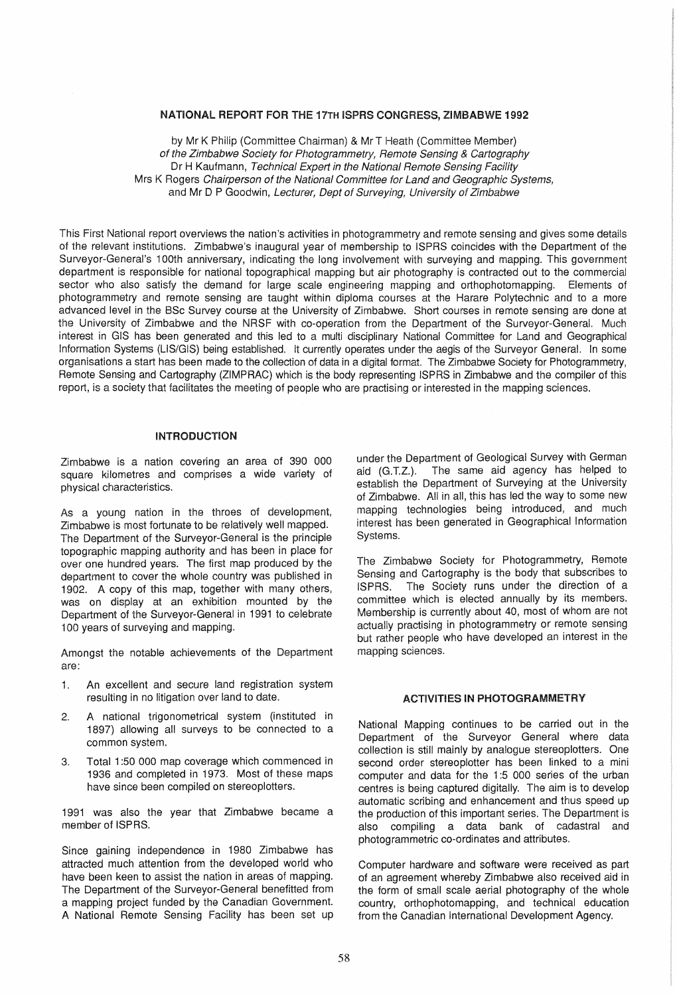#### NATIONAL REPORT FOR THE 17TH ISPRS CONGRESS, ZIMBABWE 1992

by Mr K Philip (Committee Chairman) & Mr T Heath (Committee Member) of the Zimbabwe Society for Photogrammetry, Remote Sensing & Cartography Dr H Kaufmann, Technical Expert in the National Remote Sensing Facility Mrs K Rogers Chairperson of the National Committee for Land and Geographic Systems, and Mr D P Goodwin, Lecturer, Dept of Surveying, University of Zimbabwe

This First National report overviews the nation's activities in photogrammetry and remote sensing and gives some details of the relevant institutions. Zimbabwe's inaugural year of membership to ISPRS coincides with the Department of the Surveyor-General's 1 DOth anniversary, indicating the long involvement with surveying and mapping. This government department is responsible for national topographical mapping but air photography is contracted out to the commercial sector who also satisfy the demand for large scale engineering mapping and orthophotomapping. Elements of photogrammetry and remote sensing are taught within diploma courses at the Harare Polytechnic and to a more advanced level in the SSc Survey course at the University of Zimbabwe. Short courses in remote sensing are done at the University of Zimbabwe and the NRSF with co-operation from the Department of the Surveyor-General. Much interest in GIS has been generated and this led to a multi disciplinary National Committee for Land and Geographical Information Systems (LIS/GIS) being established. It currently operates under the aegis of the Surveyor General. In some organisations a start has been made to the collection of data in a digital format. The Zimbabwe Society for Photogrammetry, Remote Sensing and Cartography (ZIMPRAC) which is the body representing ISPRS in Zimbabwe and the compiler of this report, is a society that facilitates the meeting of people who are practising or interested in the mapping sciences.

### INTRODUCTION

Zimbabwe is a nation covering an area of 390 000 square kilometres and comprises a wide variety of physical characteristics.

As a young nation in the throes of development, Zimbabwe is most fortunate to be relatively well mapped. The Department of the Surveyor-General is the principle topographic mapping authority and has been in place for over one hundred years. The first map produced by the department to cover the whole country was published in 1902. A copy of this map, together with many others, was on display at an exhibition mounted by the Department of the Surveyor-General in 1991 to celebrate 100 years of surveying and mapping.

Amongst the notable achievements of the Department are:

- 1. An excellent and secure land registration system resulting in no litigation over land to date.
- 2. A national trigonometrical system (instituted in 1897) allowing all surveys to be connected to a common system.
- 3. Total 1 :50 000 map coverage which commenced in 1936 and completed in 1973. Most of these maps have since been compiled on stereoplotters.

1991 was also the year that Zimbabwe became a member of ISPRS.

Since gaining independence in 1980 Zimbabwe has attracted much attention from the developed world who have been keen to assist the nation in areas of mapping. The Department of the Surveyor-General benefitted from a mapping project funded by the Canadian Government. A National Remote Sensing Facility has been set up under the Department of Geological Survey with German aid (G.T.Z.). The same aid agency has helped to establish the Department of Surveying at the University of Zimbabwe. All in all, this has led the way to some new mapping technologies being introduced, and much interest has been generated in Geographical Information Systems.

The Zimbabwe Society for Photogrammetry, Remote Sensing and Cartography is the body that subscribes to ISPRS. The Society runs under the direction of a committee which is elected annually by its members. Membership is currently about 40, most of whom are not actually practising in photogrammetry or remote sensing but rather people who have developed an interest in the mapping sciences.

## ACTIVITIES IN PHOTOGRAMMETRY

National Mapping continues to be carried out in the Department of the Surveyor General where data collection is still mainly by analogue stereoplotters. One second order stereoplotter has been linked to a mini computer and data for the 1:5 000 series of the urban centres is being captured digitally. The aim is to develop automatic scribing and enhancement and thus speed up the production of this important series. The Department is also compiling a data bank of cadastral and photogrammetric co-ordinates and attributes.

Computer hardware and software were received as part of an agreement whereby Zimbabwe also received aid in the form of small scale aerial photography of the whole country, orthophotomapping, and technical education from the Canadian International Development Agency.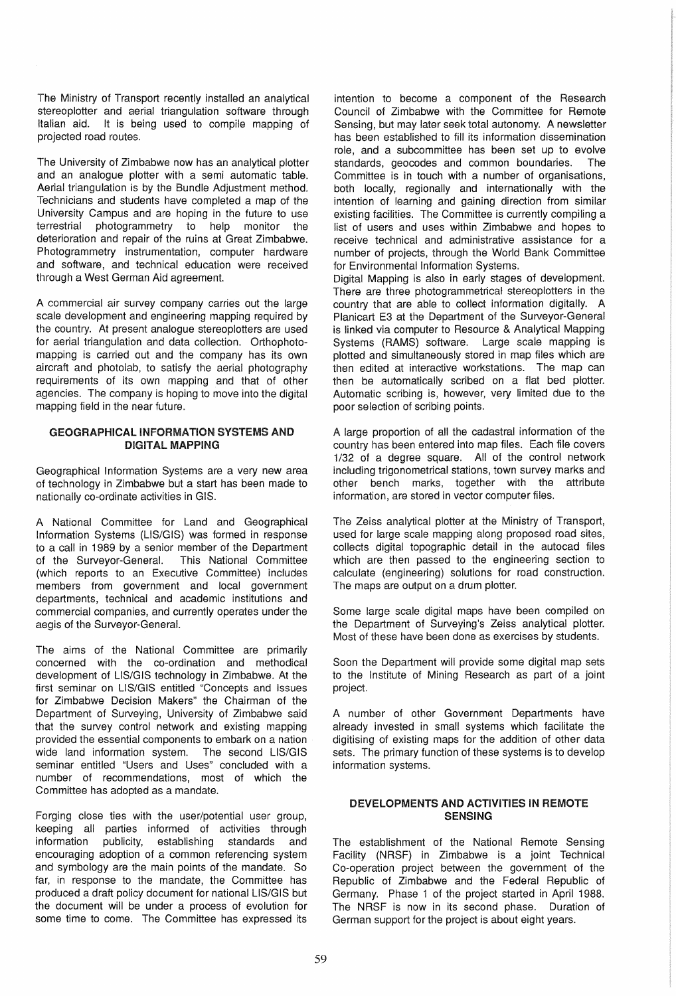The Ministry of Transport recently installed an analytical stereoplotter and aerial triangulation software through Italian aid. It is being used to compile mapping of projected road routes.

The University of Zimbabwe now has an analytical plotter and an analogue plotter with a semi automatic table. Aerial triangulation is by the Bundle Adjustment method. Technicians and students have completed a map of the University Campus and are hoping in the future to use<br>terrestrial photogrammetry to help monitor the photogrammetry to help monitor the deterioration and repair of the ruins at Great Zimbabwe. Photogrammetry instrumentation, computer hardware and software, and technical education were received through a West German Aid agreement.

A commercial air survey company carries out the large scale development and engineering mapping required by the country. At present analogue stereoplotters are used for aerial triangulation and data collection. Orthophotomapping is carried out and the company has its own aircraft and photolab, to satisfy the aerial photography requirements of its own mapping and that of other agencies. The company is hoping to move into the digital mapping field in the near future.

### GEOGRAPHICAL INFORMATION SYSTEMS AND DIGITAL MAPPING

Geographical Information Systems are a very new area of technology in Zimbabwe but a start has been made to nationally co-ordinate activities in GIS.

A National Committee for Land and Geographical Information Systems (US/GIS) was formed in response to a call in 1989 by a senior member of the Department of the Surveyor-General. This National Committee (which reports to an Executive Committee) includes members from government and local government departments, technical and academic institutions and commercial companies, and currently operates under the aegis of the Surveyor-General.

The aims of the National Committee are primarily concerned with the co-ordination and methodical development of US/GIS technology in Zimbabwe. At the first seminar on LIS/GIS entitled "Concepts and Issues for Zimbabwe Decision Makers" the Chairman of the Department of Surveying, University of Zimbabwe said that the survey control network and existing mapping provided the essential components to embark on a nation wide land information system. The second LIS/GIS seminar entitled "Users and Uses" concluded with a number of recommendations, most of which the Committee has adopted as a mandate.

Forging close ties with the user/potential user group, keeping all parties informed of activities through information publicity, establishing standards and encouraging adoption of a common referencing system and symbology are the main points of the mandate. So far, in response to the mandate, the Committee has produced a draft policy document for national LIS/GIS but the document will be under a process of evolution for some time to come. The Committee has expressed its intention to become a component of the Research Council of Zimbabwe with the Committee for Remote Sensing, but may later seek total autonomy. A newsletter has been established to fill its information dissemination role, and a subcommittee has been set up to evolve standards, geocodes and common boundaries. The Committee is in touch with a number of organisations, both locally, regionally and internationally with the intention of learning and gaining direction from similar existing facilities. The Committee is currently compiling a list of users and uses within Zimbabwe and hopes to receive technical and administrative assistance for a number of projects, through the World Bank Committee for Environmental Information Systems.

Digital Mapping is also in early stages of development. There are three photogrammetrical stereopiotters in the country that are able to collect information digitally. A Planicart E3 at the Department of the Surveyor-General is linked via computer to Resource & Analytical Mapping Systems (RAMS) software. Large scale mapping is plotted and simultaneously stored in map files which are then edited at interactive workstations. The map can then be automatically scribed on a flat bed plotter. Automatic scribing is, however, very limited due to the poor selection of scribing points.

A large proportion of all the cadastral information of the country has been entered into map files. Each file covers 1/32 of a degree square. All of the control network including trigonometrical stations, town survey marks and other bench marks, together with the attribute information, are stored in vector computer files.

The Zeiss analytical plotter at the Ministry of Transport, used for large scale mapping along proposed road sites, collects digital topographic detail in the autocad files which are then passed to the engineering section to calculate (engineering) solutions for road construction. The maps are output on a drum plotter.

Some large scale digital maps have been compiled on the Department of Surveying's Zeiss analytical plotter. Most of these have been done as exercises by students.

Soon the Department will provide some digital map sets to the institute of Mining Research as part of a joint project.

A number of other Government Departments have already invested in small systems which facilitate the digitising of existing maps for the addition of other data sets. The primary function of these systems is to develop information systems.

## DEVELOPMENTS AND ACTIVITIES IN REMOTE **SENSING**

The establishment of the National Remote Sensing Facility (NRSF) in Zimbabwe is a joint Technical Co-operation project between the government of the Republic of Zimbabwe and the Federal Republic of Germany. Phase 1 of the project started in April 1988. The NRSF is now in its second phase. Duration of German support for the project is about eight years.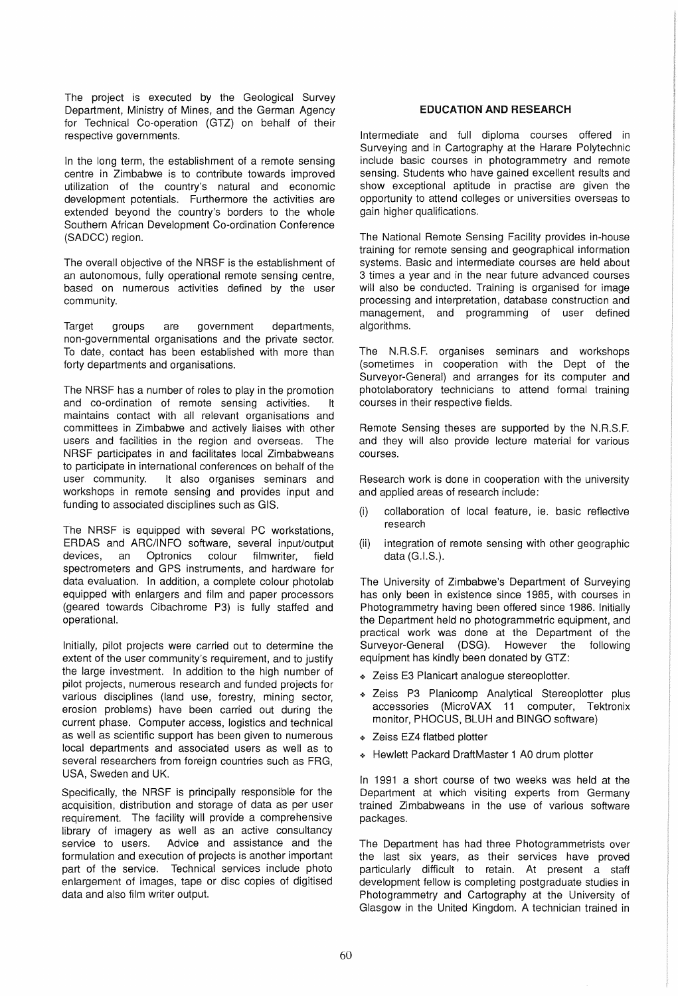The project is executed by the Geological Survey Department, Ministry of Mines, and the German Agency for Technical Co-operation (GTZ) on behalf of their respective governments.

In the long term, the establishment of a remote sensing centre in Zimbabwe is to contribute towards improved utilization of the country's natural and economic development potentials. Furthermore the activities are extended beyond the country's borders to the whole Southern African Development Co-ordination Conference (SADCC) region.

The overall objective of the NRSF is the establishment of an autonomous, fully operational remote sensing centre, based on numerous activities defined by the user community.

Target groups are government departments, non-governmental organisations and the private sector. To date, contact has been established with more than forty departments and organisations.

The NRSF has a number of roles to play in the promotion and co-ordination of remote sensing activities. It maintains contact with all relevant organisations and committees in Zimbabwe and actively liaises with other users and facilities in the region and overseas. The NRSF participates in and facilitates local Zimbabweans to participate in international conferences on behalf of the user community. It also organises seminars and It also organises seminars and workshops in remote sensing and provides input and funding to associated disciplines such as GIS.

The NRSF is equipped with several PC workstations, ERDAS and ARC/INFO software, several input/output devices, an Optronics colour filmwriter, field spectrometers and GPS instruments, and hardware for data evaluation. In addition, a complete colour photolab equipped with enlargers and film and paper processors (geared towards Cibachrome P3) is fully staffed and operational.

Initially, pilot projects were carried out to determine the extent of the user community's requirement, and to justify the large investment. In addition to the high number of pilot projects, numerous research and funded projects for various disciplines (land use, forestry, mining sector, erosion problems) have been carried out during the current phase. Computer access, logistics and technical as well as scientific support has been given to numerous local departments and associated users as well as to several researchers from foreign countries such as FRG, USA, Sweden and UK.

Specifically, the NRSF is principally responsible for the acquisition, distribution and storage of data as per user requirement. The facility will provide a comprehensive library of imagery as well as an active consultancy service to users. Advice and assistance and the formulation and execution of projects is another important part of the service. Technical services include photo enlargement of images, tape or disc copies of digitised data and also film writer output.

# EDUCATION' AND RESEARCH

Intermediate and full diploma courses offered in Surveying and in Cartography at the Harare Polytechnic include basic courses in photogrammetry and remote sensing. Students who have gained excellent results and show exceptional aptitude in practise are given the opportunity to attend colleges or universities overseas to gain higher qualifications.

The National Remote Sensing Facility provides in-house training for remote sensing and geographical information systems. Basic and intermediate courses are held about 3 times a year and in the near future advanced courses will also be conducted. Training is organised for image processing and interpretation, database construction and management, and programming of user defined algorithms.

The N.R.S.F. organises seminars and workshops (sometimes in cooperation with the Dept of the Surveyor-General) and arranges for its computer and photolaboratory technicians to attend formal training courses in their respective fields.

Remote Sensing theses are supported by the N.R.S.F. and they will also provide lecture material for various courses.

Research work is done in cooperation with the university and applied areas of research include:

- (i) collaboration of local feature, ie. basic reflective research
- (ii) integration of remote sensing with other geographic data (G.I.S.).

The University of Zimbabwe's Department of Surveying has only been in existence since 1985, with courses in Photogrammetry having been offered since 1986. Initially the Department held no photogrammetric equipment, and practical work was done at the Department of the Surveyor-General (DSG). However the following equipment has kindly been donated by GTZ:

- Zeiss E3 Planicart analogue stereoplotter.
- \* Zeiss P3 Planicomp Analytical Stereoplotter plus accessories (MicroVAX 11 computer, Tektronix monitor, PHOCUS, BLUH and BINGO software)
- \* Zeiss EZ4 flatbed plotter
- .:. Hewlett Packard DraftMaster 1 AO drum plotter

In 1991 a short course of two weeks was held at the Department at which visiting experts from Germany trained Zimbabweans in the use of various software packages.

The Department has had three Photogrammetrists over the last six years, as their services have proved particularly difficult to retain. At present a staff development fellow is completing postgraduate studies in Photogrammetry and Cartography at the University of Glasgow in the United Kingdom. A technician trained in